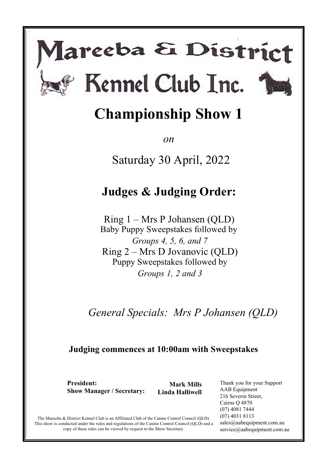# lareeba & District Kennel Club Inc.

s



*on* 

Saturday 30 April, 2022

# **Judges & Judging Order:**

Ring 1 – Mrs P Johansen (QLD) Baby Puppy Sweepstakes followed by *Groups 4, 5, 6, and 7* Ring 2 – Mrs D Jovanovic (QLD) Puppy Sweepstakes followed by *Groups 1, 2 and 3*

*General Specials: Mrs P Johansen (QLD)*

# **Judging commences at 10:00am with Sweepstakes**

**President: Show Manager / Secretary:** 

**Mark Mills Linda Halliwell** 

Thank you for your Support AAB Equipment 216 Severin Street, Cairns Q 4870 (07) 4081 7444 (07) 4031 8113 sales@aabequipment.com.au service@aabequipment.com.au

The Mareeba & District Kennel Club is an Affiliated Club of the Canine Control Council (QLD). This show is conducted under the rules and regulations of the Canine Control Council (QLD) and a copy of these rules can be viewed by request to the Show Secretary.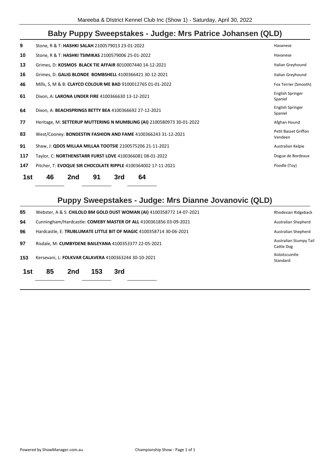# **Baby Puppy Sweepstakes - Judge: Mrs Patrice Johansen (QLD)**

|                                        | 46<br>91<br>64<br>2nd<br>3rd                                          | 1st |  |  |  |  |  |  |
|----------------------------------------|-----------------------------------------------------------------------|-----|--|--|--|--|--|--|
| Poodle (Toy)                           | Pitcher, T: EVOQUE SIR CHOCOLATE RIPPLE 4100364002 17-11-2021         | 147 |  |  |  |  |  |  |
| Dogue de Bordeaux                      | Taylor, C: NORTHENSTARR FURST LOVE 4100366081 08-01-2022              | 117 |  |  |  |  |  |  |
| Australian Kelpie                      | Shaw, J: QDOS MILLAA MILLAA TOOTSIE 2100575206 21-11-2021             | 91  |  |  |  |  |  |  |
| <b>Petit Basset Griffon</b><br>Vendeen | West/Cooney: BONDESTIN FASHION AND FAME 4100366243 31-12-2021         | 83  |  |  |  |  |  |  |
| Afghan Hound                           | Heritage, M: SETTERUP MUTTERING N MUMBLING (AI) 2100580973 30-01-2022 | 77  |  |  |  |  |  |  |
| English Springer<br>Spaniel            | Dixon, A: BEACHSPRINGS BETTY BEA 4100366692 27-12-2021                | 64  |  |  |  |  |  |  |
| English Springer<br>Spaniel            | Dixon, A: LARONA UNDER FIRE 4100366630 13-12-2021                     | 61  |  |  |  |  |  |  |
| Fox Terrier (Smooth)                   | Mills, S, M & B: CLAYCO COLOUR ME BAD 9100012765 01-01-2022           | 46  |  |  |  |  |  |  |
| Italian Greyhound                      | Grimes, D: GALIG BLONDE BOMBSHELL 4100366421 30-12-2021               | 16  |  |  |  |  |  |  |
| Italian Greyhound                      | Grimes, D: KOSMOS BLACK TIE AFFAIR 8010007440 14-12-2021              | 13  |  |  |  |  |  |  |
| Havanese                               | Stone, R & T: HASHKI TSIMIKAS 2100579006 25-01-2022                   |     |  |  |  |  |  |  |
| Havanese                               | Stone, R & T: HASHKI SALAH 2100579013 23-01-2022                      | 9   |  |  |  |  |  |  |
|                                        |                                                                       |     |  |  |  |  |  |  |

# **Puppy Sweepstakes - Judge: Mrs Dianne Jovanovic (QLD)**

| 1st | 85<br>153<br>2nd                                                                              | 3rd |                            |  |  |  |  |  |
|-----|-----------------------------------------------------------------------------------------------|-----|----------------------------|--|--|--|--|--|
| 153 | Kersevani, L: FOLKVAR CALAVERA 4100363244 30-10-2021                                          |     | Xoloitzcuintle<br>Standard |  |  |  |  |  |
| 97  | Australian Stumpy Tail<br>Risdale, M: CUMBYDENE BAILEYANA 4100353377 22-05-2021<br>Cattle Dog |     |                            |  |  |  |  |  |
| 96  | Hardcastle, E: TRUBLUMATE LITTLE BIT OF MAGIC 4100358714 30-06-2021<br>Australian Shepherd    |     |                            |  |  |  |  |  |
| 94  | Cunningham/Hardcastle: COMEBY MASTER OF ALL 4100361856 03-09-2021<br>Australian Shepherd      |     |                            |  |  |  |  |  |
| 85  | Webster, A & S: CHILOLO BM GOLD DUST WOMAN (AI) 4100358772 14-07-2021<br>Rhodesian Ridgeback  |     |                            |  |  |  |  |  |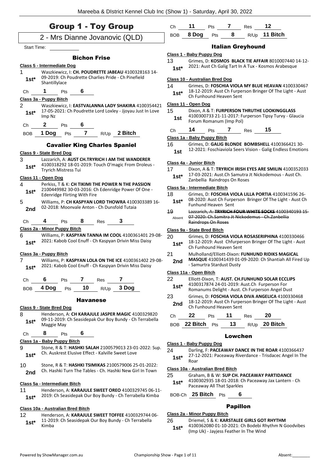|                                                                                                                    | <b>Group 1 - Toy Group</b>                          |                     |      |                                                                                                                 | Ch                                                                                                         | 11                                    | Pts | 7                                                                                                             | <b>Res</b>                                          | 12                                                                                                     |                                                        |
|--------------------------------------------------------------------------------------------------------------------|-----------------------------------------------------|---------------------|------|-----------------------------------------------------------------------------------------------------------------|------------------------------------------------------------------------------------------------------------|---------------------------------------|-----|---------------------------------------------------------------------------------------------------------------|-----------------------------------------------------|--------------------------------------------------------------------------------------------------------|--------------------------------------------------------|
|                                                                                                                    | 2 - Mrs Dianne Jovanovic (QLD)                      |                     |      |                                                                                                                 | <b>BOB</b>                                                                                                 | 8 Dog                                 | Pts | 8                                                                                                             |                                                     | R/Up 11 Bitch                                                                                          |                                                        |
| <b>Start Time:</b>                                                                                                 |                                                     |                     |      |                                                                                                                 |                                                                                                            |                                       |     |                                                                                                               | <b>Italian Greyhound</b>                            |                                                                                                        |                                                        |
|                                                                                                                    |                                                     |                     |      |                                                                                                                 |                                                                                                            | Class 1 - Baby Puppy Dog              |     |                                                                                                               |                                                     |                                                                                                        |                                                        |
|                                                                                                                    |                                                     | <b>Bichon Frise</b> |      |                                                                                                                 | 13                                                                                                         |                                       |     |                                                                                                               |                                                     |                                                                                                        | Grimes, D: KOSMOS BLACK TIE AFFAIR 8010007440 14-12-   |
| 1                                                                                                                  | Class 5 - Intermediate Dog                          |                     |      | Waszkiewicz, I: CH. POUDRETTE JABEAU 4100328163 14-                                                             | $1st*$                                                                                                     |                                       |     |                                                                                                               |                                                     | 2021: Aust Ch Galig Tart In A Tux - Kosmos Arabesque                                                   |                                                        |
| $1st*$                                                                                                             | 09-2019: Ch Poudrette Charlies Pride - Ch Pinefield |                     |      |                                                                                                                 |                                                                                                            | <b>Class 10 - Australian Bred Dog</b> |     |                                                                                                               |                                                     |                                                                                                        |                                                        |
|                                                                                                                    | Shantillylace                                       |                     |      |                                                                                                                 | 14                                                                                                         |                                       |     |                                                                                                               |                                                     | Grimes, D: FOSCHIA VIOLA MY BLUE HEAVAN 4100330467                                                     |                                                        |
| Ch                                                                                                                 | 1<br>Pts                                            | 6                   |      |                                                                                                                 | $1st*$                                                                                                     |                                       |     |                                                                                                               |                                                     | 18-12-2019: Aust Ch Furperson Bringer Of The Light - Aust                                              |                                                        |
|                                                                                                                    | Class 3a - Puppy Bitch                              |                     |      |                                                                                                                 |                                                                                                            | Ch Funhound Heaven Sent               |     |                                                                                                               |                                                     |                                                                                                        |                                                        |
| $\overline{2}$                                                                                                     |                                                     |                     |      | Waszkiewicz, I: EASTVALANNA LADY SHAKIRA 4100354421                                                             | 15                                                                                                         | Class 11 - Open Dog                   |     |                                                                                                               |                                                     |                                                                                                        |                                                        |
| $1st^*$                                                                                                            | Imp Nz                                              |                     |      | 17-05-2021: Ch Poudrette Lord Loxley - Jjoyau Just In Love                                                      | 1st                                                                                                        |                                       |     |                                                                                                               |                                                     | Dixon, A & T: FURPERSON THRUTHE LOOKINGGLASS<br>4100300733 21-11-2017: Furperson Tipsy Turvy - Glaucia |                                                        |
| Ch                                                                                                                 | $\mathbf{2}$<br><b>Pts</b>                          |                     |      |                                                                                                                 |                                                                                                            | Forum Romanum (Imp Pol)               |     |                                                                                                               |                                                     |                                                                                                        |                                                        |
| <b>BOB</b>                                                                                                         | 1 Dog                                               |                     |      | Pts 7 R/Up 2 Bitch                                                                                              | Ch                                                                                                         | 14                                    | Pts | $7^{\circ}$                                                                                                   | Res                                                 | 15                                                                                                     |                                                        |
|                                                                                                                    |                                                     |                     |      |                                                                                                                 |                                                                                                            | Class 1a - Baby Puppy Bitch           |     |                                                                                                               |                                                     |                                                                                                        |                                                        |
|                                                                                                                    | <b>Cavalier King Charles Spaniel</b>                |                     |      |                                                                                                                 | 16                                                                                                         |                                       |     |                                                                                                               |                                                     | Grimes, D: GALIG BLONDE BOMBSHELL 4100366421 30-                                                       |                                                        |
|                                                                                                                    | Class 9 - State Bred Dog                            |                     |      |                                                                                                                 | 1st                                                                                                        |                                       |     |                                                                                                               |                                                     | 12-2021: Foschiaviola Seers Vision - Galig Endless Emotions                                            |                                                        |
| 3                                                                                                                  |                                                     |                     |      | Lazzarich, A: AUST CH.TRYRICH I AM THE WANDERER<br>4100318292 18-01-2019: Touch O'magic From Droleus -          |                                                                                                            | Class 4a - Junior Bitch               |     |                                                                                                               |                                                     |                                                                                                        |                                                        |
| $1st*$                                                                                                             | Tryrich Mistress Tui                                |                     |      |                                                                                                                 | 17                                                                                                         |                                       |     |                                                                                                               |                                                     |                                                                                                        | Dixon, A & T: TRYRICH IRISH EYES ARE SMILIN 4100352033 |
|                                                                                                                    | Class 11 - Open Dog                                 |                     |      |                                                                                                                 | $1st*$                                                                                                     | Zanbellia Raindrops On Roses          |     |                                                                                                               |                                                     | 17-03-2021: Aust.Ch Samutra Jt Nickodemous - Aust Ch.                                                  |                                                        |
| 4                                                                                                                  |                                                     |                     |      | Perkiss, T & K: CH TIKIMI THE POWER N THE PASSION                                                               |                                                                                                            | Class 5a - Intermediate Bitch         |     |                                                                                                               |                                                     |                                                                                                        |                                                        |
| $1st*$                                                                                                             | <b>Edenridge Flirting With Fire</b>                 |                     |      | 2100449982 30-03-2016: Ch Edenridge Power Of One -                                                              | 18                                                                                                         |                                       |     |                                                                                                               |                                                     | Grimes, D: FOSCHIA VIOLA LILLA PORTIA 4100341596 26-                                                   |                                                        |
| 5                                                                                                                  |                                                     |                     |      | Williams, P: CH KASPYAN LORD THOWRA 4100303389 16-                                                              | $1st*$                                                                                                     |                                       |     |                                                                                                               |                                                     | 08-2020: Aust Ch Furperson Bringer Of The Light - Aust Ch                                              |                                                        |
| 2nd                                                                                                                | 02-2018: Moonvale Anton - Ch Dunsfold Tutaia        |                     |      |                                                                                                                 | 49                                                                                                         | <b>Funhund Heaven Sent</b>            |     |                                                                                                               |                                                     |                                                                                                        | Lazzarich, A: TRYRICH FOUR WHITE SOCKS 4100340193 15-  |
|                                                                                                                    |                                                     |                     |      |                                                                                                                 | Absent                                                                                                     |                                       |     |                                                                                                               |                                                     | 07-2020: Ch.Samitra Jt Nickodemus - Ch.Zanbellia                                                       |                                                        |
| Ch                                                                                                                 | 4<br>Pts                                            | $8^{\circ}$         | Res  |                                                                                                                 |                                                                                                            | Raindrops On Roses                    |     |                                                                                                               |                                                     |                                                                                                        |                                                        |
|                                                                                                                    | Class 2a - Minor Puppy Bitch                        |                     |      |                                                                                                                 |                                                                                                            | Class 9a - State Bred Bitch           |     |                                                                                                               |                                                     |                                                                                                        |                                                        |
| 6<br>Williams, P: KASPYAN TANNA IM COOL 4100361401 29-08-<br>2021: Kabob Cool Enuff - Ch Kaspyan Drivin Miss Daisy |                                                     |                     | 20   |                                                                                                                 |                                                                                                            |                                       |     | Grimes, D: FOSCHIA VIOLA ROSASERIPHINA 4100330466<br>18-12-2019: Aust Chfurperson Bringer Of The Light - Aust |                                                     |                                                                                                        |                                                        |
| $1st*$                                                                                                             |                                                     |                     |      |                                                                                                                 | $1st*$                                                                                                     | Ch Funhound Heaven Sent               |     |                                                                                                               |                                                     |                                                                                                        |                                                        |
|                                                                                                                    | Class 3a - Puppy Bitch                              |                     |      |                                                                                                                 | 21                                                                                                         |                                       |     |                                                                                                               |                                                     | Mulholland/Elliott-Dixon: FUNHUND RIDIKS MAGICAL                                                       |                                                        |
| 7                                                                                                                  |                                                     |                     |      | Williams, P: KASPYAN LOLA ON THE ICE 4100361402 29-08-<br>2021: Kabob Cool Enuff - Ch Kaspyan Drivin Miss Daisy | 2nd                                                                                                        | - Samurtra Stardust Dusty             |     |                                                                                                               |                                                     |                                                                                                        | MASQUE 4100341439 01-09-2020: Ch Shantiah All Fired Up |
| $1st^*$                                                                                                            |                                                     |                     |      |                                                                                                                 |                                                                                                            | Class 11a - Open Bitch                |     |                                                                                                               |                                                     |                                                                                                        |                                                        |
| Ch                                                                                                                 | 6<br>Pts                                            | 7                   | Res  | $\epsilon$                                                                                                      | 22                                                                                                         |                                       |     |                                                                                                               |                                                     | Elliott-Dixon, T: AUST. CH.FUNHUND SOLAR ECCLIPS                                                       |                                                        |
| <b>BOB</b>                                                                                                         | 4 Dog<br>Pts                                        | 10                  | R/Up | 3 Dog                                                                                                           | 4100317874 24-01-2019: Aust.Ch Furperson For<br>$1st*$<br>Romanums Delight - Aust. Ch Furperson Angel Dust |                                       |     |                                                                                                               |                                                     |                                                                                                        |                                                        |
|                                                                                                                    |                                                     |                     |      |                                                                                                                 | 23                                                                                                         |                                       |     |                                                                                                               |                                                     | Grimes, D: FOSCHIA VIOLA DIVA ANGELICA 4100330468                                                      |                                                        |
|                                                                                                                    |                                                     | <b>Havanese</b>     |      |                                                                                                                 | 2nd                                                                                                        |                                       |     |                                                                                                               |                                                     | 18-12-2019: Aust Ch Furperson Bringer Of The Light - Aust                                              |                                                        |
|                                                                                                                    | Class 9 - State Bred Dog                            |                     |      |                                                                                                                 |                                                                                                            |                                       |     | Ch Funhound Heaven Sent                                                                                       |                                                     |                                                                                                        |                                                        |
| 8                                                                                                                  |                                                     |                     |      | Henderson, A: CH KARAJULE JASPER MAGIC 4100329820<br>09-11-2019: Ch Seasidepak Our Boy Bundy - Ch Terrabella    | Ch                                                                                                         | 22                                    | Pts | 11                                                                                                            | Res                                                 | 20                                                                                                     |                                                        |
| $1st*$                                                                                                             | Maggie May                                          |                     |      |                                                                                                                 |                                                                                                            | BOB 22 Bitch Pts                      |     | 13                                                                                                            |                                                     | R/Up 20 Bitch                                                                                          |                                                        |
| Ch                                                                                                                 | 8<br>Pts                                            | 6                   |      |                                                                                                                 |                                                                                                            |                                       |     | <b>Lowchen</b>                                                                                                |                                                     |                                                                                                        |                                                        |
|                                                                                                                    | Class 1a - Baby Puppy Bitch                         |                     |      |                                                                                                                 |                                                                                                            | Class 1 - Baby Puppy Dog              |     |                                                                                                               |                                                     |                                                                                                        |                                                        |
| 9                                                                                                                  |                                                     |                     |      | Stone, R & T: HASHKI SALAH 2100579013 23-01-2022: Sup.                                                          | 24                                                                                                         |                                       |     |                                                                                                               |                                                     | Darling, F: PACEAWAY DANCE IN THE ROAR 4100366437                                                      |                                                        |
| $1st*$                                                                                                             | Ch. Auskrest Elusive Effect - Kalville Sweet Love   |                     |      |                                                                                                                 | $1st*$                                                                                                     |                                       |     |                                                                                                               |                                                     | 27-12-2021: Paceaway Riverdance - Trisdacec Angel In The                                               |                                                        |
| 10                                                                                                                 |                                                     |                     |      | Stone, R & T: HASHKI TSIMIKAS 2100579006 25-01-2022:                                                            |                                                                                                            | Roar                                  |     |                                                                                                               |                                                     |                                                                                                        |                                                        |
| 2nd                                                                                                                |                                                     |                     |      | Ch. Hashki Turn The Tables - Ch. Hashki New Girl In Town                                                        | 25                                                                                                         | Class 10a - Australian Bred Bitch     |     |                                                                                                               |                                                     | Graham, B & W: SUP CH. PACEAWAY PARTIDANCE                                                             |                                                        |
|                                                                                                                    |                                                     |                     |      |                                                                                                                 | $1st*$                                                                                                     |                                       |     |                                                                                                               |                                                     | 4100302935 18-01-2018: Ch Paceaway Jax Lantern - Ch                                                    |                                                        |
| 11                                                                                                                 | Class 5a - Intermediate Bitch                       |                     |      | Henderson, A: KARAJULE SWEET OREO 4100329745 06-11-                                                             |                                                                                                            |                                       |     | Paceaway All That Sparkles                                                                                    |                                                     |                                                                                                        |                                                        |
| $1st*$                                                                                                             |                                                     |                     |      | 2019: Ch Seasidepak Our Boy Bundy - Ch Terrabella Kimba                                                         |                                                                                                            | BOB-Ch 25 Bitch Pts                   |     | 6                                                                                                             |                                                     |                                                                                                        |                                                        |
|                                                                                                                    |                                                     |                     |      |                                                                                                                 |                                                                                                            |                                       |     |                                                                                                               |                                                     |                                                                                                        |                                                        |
|                                                                                                                    | Class 10a - Australian Bred Bitch                   |                     |      |                                                                                                                 |                                                                                                            |                                       |     | <b>Papillon</b>                                                                                               |                                                     |                                                                                                        |                                                        |
| 12                                                                                                                 |                                                     |                     |      | Henderson, A: KARAJULE SWEET TOFFEE 4100329744 06-                                                              | 26                                                                                                         | Class 2a - Minor Puppy Bitch          |     |                                                                                                               |                                                     | Driemel, S & K: KARSTALEE GIRLS GOT RHYTHM                                                             |                                                        |
| 11-2019: Ch Seasidepak Our Boy Bundy - Ch Terrabella<br>$1st*$<br>Kimba                                            |                                                     |                     |      | $1c+1$                                                                                                          |                                                                                                            |                                       |     |                                                                                                               | 4100362080 01-10-2021: Ch Bodebi Rhythm N Goodvibes |                                                                                                        |                                                        |

4100362080 01-10-2021: Ch Bodebi Rhythm N Goodvibes (Imp Uk) - Jayjess Feather In The Wind **1st\***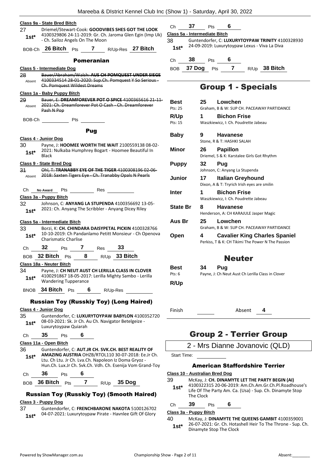|                   | Class 9a - State Bred Bitch                                                                                                                                                                                                    |                        |
|-------------------|--------------------------------------------------------------------------------------------------------------------------------------------------------------------------------------------------------------------------------|------------------------|
| 27<br>$1$ st $^*$ | Driemel/Stewart-Cook: GOODVIBES SHES GOT THE LOOK<br>4100329806 24-11-2019: Gr. Ch. Jaroma Glen Egin (Imp Uk)<br>- Ch. Sailoz Angels On The Moon                                                                               | CI<br><u>Cla</u><br>38 |
|                   | BOB-Ch 26 Bitch Pts 7 R/Up-Res 27 Bitch                                                                                                                                                                                        | ł                      |
|                   | <b>Pomeranian</b>                                                                                                                                                                                                              | СI                     |
|                   | Class 5 - Intermediate Dog                                                                                                                                                                                                     |                        |
| 28                | Bauer/Abraham/Walsh: AUS CH POMQUEST UNDER SIEGE                                                                                                                                                                               | B١                     |
| Absent            | 4100334514 28 01 2020: Sup.Ch. Pomquest Y So Serious-<br>Ch. Pomquest Wildest Dreams                                                                                                                                           |                        |
|                   | Class 1a - Baby Puppy Bitch                                                                                                                                                                                                    |                        |
| 29<br>Absent      | Bauer, E: DREAMFOREVER POT O SPICE 4100365616 21-11-<br>2021: Ch. Dreamforever Pot O Cash - Ch. Dreamforever<br>Pash N Pop                                                                                                     | в<br>Pt                |
| BOB-Ch            | <b>Pts</b>                                                                                                                                                                                                                     | R                      |
|                   | Pug                                                                                                                                                                                                                            | Pt                     |
|                   | Class 4 - Junior Dog                                                                                                                                                                                                           | в                      |
| 30 -<br>$1st^*$   | Payne, J: HOOMEE WORTH THE WAIT 2100559138 08-02-<br>2021: Nulkaba Humphrey Bogart - Hoomee Beautiful In                                                                                                                       | Μ                      |
|                   | <b>Black</b><br><b>Class 9 - State Bred Dog</b>                                                                                                                                                                                | Ρ                      |
|                   | 31 Ohl, T: TRANABBY EYE OF THE TIGER 4100308196 02 06                                                                                                                                                                          |                        |
|                   | Absent 2018: Saxten Tigers Eye - Ch. Tranabby Opals N Pearls                                                                                                                                                                   | ال                     |
|                   | Ch No Award Pts Res                                                                                                                                                                                                            | Ir                     |
|                   | Class 3a - Puppy Bitch                                                                                                                                                                                                         |                        |
| $1st^*$           | 32 Johnson, C: ANYANG LA STUPENDA 4100356692 13-05-<br>2021: Ch. Anyang The Scribbler - Anyang Dicey Riley                                                                                                                     | S                      |
|                   | Class 5a - Intermediate Bitch                                                                                                                                                                                                  | Α                      |
| 33<br>$1st^*$     | Borzi, K: CH. CHINDARA DAISYPETAL PICKIN 4100328766<br>10-10-2019: Ch Pandanlamo Petitt Monsieur - Ch Openova<br><b>Charismatic Charlise</b>                                                                                   | O                      |
|                   | Ch 32 Pts 7 Res 33                                                                                                                                                                                                             |                        |
|                   | BOB 32 Bitch Pts 8 R/Up 33 Bitch                                                                                                                                                                                               |                        |
|                   | Class 18a - Neuter Bitch                                                                                                                                                                                                       |                        |
| 34                | Payne, J: CH NEUT AUST CH LERILLA CLASS IN CLOVER                                                                                                                                                                              | в<br>Pt                |
| $1st*$            | 4100291867 18-05-2017: Lerilla Mighty Sambo - Lerilla<br><b>Wandering Tupperance</b>                                                                                                                                           | R                      |
| <b>BNOB</b>       | 34 Bitch Pts<br>6<br>R/Up-Res                                                                                                                                                                                                  |                        |
|                   | <b>Russian Toy (Russkiy Toy) (Long Haired)</b>                                                                                                                                                                                 |                        |
|                   | Class 4 - Junior Dog                                                                                                                                                                                                           | Fi                     |
| 35                | Guntendorfer, C: LUXURYTOYPAW BABYLON 4100352720                                                                                                                                                                               |                        |
| $1st*$            | 08-03-2021: Sk. Jr Ch. Au Ch. Navigator Betelgeize -<br>Luxurytoypaw Quiarah                                                                                                                                                   |                        |
| Ch                | 35<br>6<br>Pts                                                                                                                                                                                                                 |                        |
|                   | Class 11a - Open Bitch                                                                                                                                                                                                         |                        |
| 36<br>1st*        | Guntendorfer, C: AUT.JR CH. SVK.CH. BEST REALITY OF<br>AMAZING AUSTRIA OHZB/RTOL110 30-07-2018: Ee.Jr Ch.<br>Ltu. Ch Ltu. Jr Ch. Lva.Ch. Napoleon Iz Doma Gryoz -<br>Hun.Ch. Lux.Jr Ch. Svk.Ch. Vdh. Ch. Esenija Vom Grand-Toy | S                      |
| Ch                | 36<br>6<br>Pts                                                                                                                                                                                                                 | <u>Cla</u>             |
|                   | BOB 36 Bitch<br>7 R/Up 35 Dog<br>Pts                                                                                                                                                                                           | 39                     |

# Russian Toy (Russkiy Toy) (Smooth Haired)

# **Class 3 - Puppy Dog**

37 Guntendorfer, C: **FRENCHBARONE NAKOTA** 5100126702 04-07-2021: Luxurytoypaw Pirate - Havnlee Gift Of Glory **1st\***

Ch **37** Pts **6 Class 5a - Intermediate Bitch**

|     | Class Ja - Illie Illeulaie Di  |  |
|-----|--------------------------------|--|
| nn. | $C_{i}$ and a set of a set $C$ |  |

38 Guntendorfer, C: **LUXURYTOYPAW TRINITY** 4100328930 24-09-2019: Luxurytoypaw Lexus - Viva La Diva **1st\***

Ch **38** Pts **6**

BOB **37 Dog** Pts **7** R/Up **38 Bitch**

# Group 1 - Specials

| Best<br>Pts: 25        | 25 | Lowchen<br>Graham, B & W: SUP CH. PACEAWAY PARTIDANCE                                     |
|------------------------|----|-------------------------------------------------------------------------------------------|
| <b>R/Up</b><br>Pts: 15 | 1  | <b>Bichon Frise</b><br>Waszkiewicz, I: Ch. Poudrette Jabeau                               |
| Baby                   | 9  | <b>Havanese</b><br>Stone, R & T: HASHKI SALAH                                             |
| Minor                  | 26 | <b>Papillon</b><br>Driemel, S & K: Karstalee Girls Got Rhythm                             |
| <b>Puppy</b>           | 32 | Pug<br>Johnson, C: Anyang La Stupenda                                                     |
| Junior                 | 17 | Italian Greyhound<br>Dixon, A & T: Tryrich Irish eyes are smilin                          |
| <b>Inter</b>           | 1  | <b>Bichon Frise</b><br>Waszkiewicz, I: Ch. Poudrette Jabeau                               |
| <b>State Br</b>        | 8  | <b>Havanese</b><br>Henderson, A: CH KARAJULE Jasper Magic                                 |
| Aus Br                 | 25 | Lowchen<br>Graham, B & W: SUP CH. PACEAWAY PARTIDANCE                                     |
| Open                   | 4  | <b>Cavalier King Charles Spaniel</b><br>Perkiss, T & K: CH Tikimi The Power N The Passion |
|                        |    | Neuter                                                                                    |
| Best                   | 34 | Puq                                                                                       |
| Pts: $6$               |    | Payne, J: Ch Neut Aust Ch Lerilla Class in Clover                                         |
| <b>R/Up</b>            |    |                                                                                           |

Finish Absent **4**

# Group 2 - Terrier Group

Start Time:

# American Staffordshire Terrier

**Class 10 - Australian Bred Dog**

McKay, J: CH. DINAMYTE LET THE PARTY BEGIN (AI) 4100322315 20-06-2019: Am.Ch.Am.Gr.Ch.Pl.Roadhouse's Life Of The Party Am. Ca. (Usa) - Sup. Ch. Dinamyte Stop The Clock **1st\***

# Ch **39** Pts **6**

#### **Class 3a - Puppy Bitch**

40 McKay, J: **DINAMYTE THE QUEENS GAMBIT** 4100359001 26-07-2021: Gr. Ch. Hotashell Heir To The Throne - Sup. Ch. **1st**\* 26-07-2021: Gr. Ch. Hotas<br>Dinamyte Stop The Clock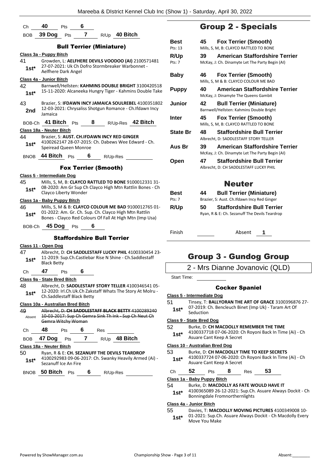|               | 40<br>6                                                                                                                                                                   |           |
|---------------|---------------------------------------------------------------------------------------------------------------------------------------------------------------------------|-----------|
| Ch            | Pts<br>39 Dog Pts<br>$\mathbf{7}$<br>R/Up 40 Bitch                                                                                                                        |           |
| BOB           |                                                                                                                                                                           |           |
|               | <b>Bull Terrier (Miniature)</b>                                                                                                                                           | P         |
|               | Class 3a - Puppy Bitch                                                                                                                                                    |           |
| 41            | Growden, L: AELFHERE DEVILS VOODOO (AI) 2100571481                                                                                                                        | P         |
| $1st*$        | 27-07-2021: Uk Ch Dofro Stormbreaker Warbonnet -<br>Aelfhere Dark Angel                                                                                                   |           |
|               | Class 4a - Junior Bitch                                                                                                                                                   | E         |
| 42            | Barnwell/Hellsten: KAHMINS DOUBLE BRIGHT 3100420518                                                                                                                       |           |
| $1st^*$       | 15-11-2020: Alcaneeka Hungry Tiger - Kahmins Double Take                                                                                                                  | F         |
| 43            | Brazier, S: IFDAWN INCY JAMAICA SOULREBEL 4100351802                                                                                                                      |           |
| 2nd           | 12-03-2021: Chrysaliss Shotgun Romance - Ch.Ifdawn Incy                                                                                                                   |           |
|               | Jamaica                                                                                                                                                                   | ı         |
|               | BOB-Ch 41 Bitch $Pts$ 8 R/Up-Res 42 Bitch                                                                                                                                 |           |
|               | Class 18a - Neuter Bitch                                                                                                                                                  | š         |
| 44            | Brazier, S: AUST. CH.IFDAWN INCY RED GINGER<br>4100262147 28-07-2015: Ch. Dabews Wee Edward - Ch.                                                                         |           |
| 1st*          | Speiread Queen Monroe                                                                                                                                                     |           |
| <b>BNOB</b>   | 44 Bitch<br>6.<br>Pts<br>R/Up-Res                                                                                                                                         |           |
|               | <b>Fox Terrier (Smooth)</b>                                                                                                                                               |           |
|               | Class 5 - Intermediate Dog                                                                                                                                                |           |
| 45            | Mills, S, M, B: CLAYCO RATTLED TO BONE 9100012331 31-                                                                                                                     |           |
| 1st*          | 08-2020: Am Gr Sup Ch Clayco High Mtn Rattlin Bones - Ch<br>Clayco Liberty Wonder                                                                                         | F         |
|               | Class 1a - Baby Puppy Bitch                                                                                                                                               | P         |
| 46<br>$1st^*$ | Mills, S, M & B: CLAYCO COLOUR ME BAD 9100012765 01-<br>01-2022: Am. Gr. Ch. Sup. Ch. Clayco High Mtn Rattlin<br>Bones - Clayco Red Colours Of Fall At High Mtn (Imp Usa) | F         |
|               | BOB-Ch <b>45 Dog</b> Pts<br>6                                                                                                                                             |           |
|               | <b>Staffordshire Bull Terrier</b>                                                                                                                                         | F         |
|               | Class 11 - Open Dog                                                                                                                                                       |           |
| 47            | Albrecht, D: CH SADDLESTAFF LUCKY PHIL 4100330454 23-                                                                                                                     |           |
| 1st*          | 11-2019: Sup.Ch.Castlebar Rise N Shine - Ch.Saddlestaff                                                                                                                   |           |
|               | <b>Black Betty</b>                                                                                                                                                        |           |
| Ch            | 47<br>$\overline{\phantom{0}}$ 6<br><b>Pts</b>                                                                                                                            |           |
|               | Class 9a - State Bred Bitch                                                                                                                                               |           |
| 48            | Albrecht, D: SADDLESTAFF STORY TELLER 4100346541 05-                                                                                                                      |           |
| 1st*          | 12-2020: Irl.Ch.Uk.Ch Zakstaff Whats The Story At Molru -<br>Ch.Saddlestaff Black Betty                                                                                   | <u>CI</u> |
|               | Class 10a - Australian Bred Bitch                                                                                                                                         | 51        |
| 49            | Albrecht, D: CH SADDLESTAFF BLACK BETTY 4100289240                                                                                                                        |           |
| Absent        | 10-03-2017: Sup Ch Gemra Sink Th Ink - Sup Ch Neut Ch<br>Gemra Witchy Woman                                                                                               | <u>CI</u> |
| Ch            | Pts 6 Res<br>48                                                                                                                                                           | 52        |
| BOB           | 47 Dog Pts 7 R/Up 48 Bitch                                                                                                                                                |           |
|               | Class 18a - Neuter Bitch                                                                                                                                                  | <u>CI</u> |
| 50            | Ryan, R & E: CH. SEZANUFF THE DEVILS TEARDROP                                                                                                                             | 53        |
| $1st^*$       | 4100292983 09-06-2017: Ch. Swanky Heavily Armed (Ai) -<br>Sezanuff Ice An Fire                                                                                            |           |
| BNOB          | 50 Bitch Pts<br>6 $R/Up-Res$                                                                                                                                              | C         |
|               |                                                                                                                                                                           | СI        |
|               |                                                                                                                                                                           | 54        |
|               |                                                                                                                                                                           |           |

# Group 2 - Specials

| Best<br>Pts: 13 | <b>Fox Terrier (Smooth)</b><br>45<br>Mills, S, M, B: CLAYCO RATTLED TO BONE                    |
|-----------------|------------------------------------------------------------------------------------------------|
| R/Up<br>Pts: 7  | American Staffordshire Terrier<br>39<br>McKay, J: Ch. Dinamyte Let The Party Begin (AI)        |
| Baby            | <b>Fox Terrier (Smooth)</b><br>46<br>Mills, S, M & B: CLAYCO COLOUR ME BAD                     |
| <b>Puppy</b>    | <b>American Staffordshire Terrier</b><br>40<br>McKay, J: Dinamyte The Queens Gambit            |
| Junior          | 42<br><b>Bull Terrier (Miniature)</b><br>Barnwell/Hellsten: Kahmins Double Bright              |
| Inter           | <b>Fox Terrier (Smooth)</b><br>45<br>Mills, S, M, B: CLAYCO RATTLED TO BONE                    |
| <b>State Br</b> | <b>Staffordshire Bull Terrier</b><br>48<br>Albrecht, D: SADDLESTAFF STORY TELLER               |
| Aus Br          | <b>American Staffordshire Terrier</b><br>39<br>McKay, J: Ch. Dinamyte Let The Party Begin (AI) |
| Open            | <b>Staffordshire Bull Terrier</b><br>47<br>Albrecht, D: CH SADDLESTAFF LUCKY PHIL              |
|                 | Neuter                                                                                         |
| Best<br>Pts: 7  | <b>Bull Terrier (Miniature)</b><br>44<br>Brazier, S: Aust. Ch. Ifdawn Incy Red Ginger          |
| <b>R/Up</b>     | 50<br><b>Staffordshire Bull Terrier</b>                                                        |

- Ryan, R & E: Ch. Sezanuff The Devils Teardrop
- 

Finish Absent **1**

# Group 3 - Gundog Group

2 - Mrs Dianne Jovanovic (QLD)

Start Time:

# Cocker Spaniel

#### **Class 5 - Intermediate Dog**

- 51 Tinsey, T: **BALLYORAN THE ART OF GRACE** 3100396876 27- 07-2019: Ch. Bencleuch Binet (Imp Uk) - Taram Art Of
- **1st**\* 07-2019: 0

#### **Class 9 - State Bred Dog**

#### 52 Burke, D: **CH MACDOLLY REMEMBER THE TIME**

4100337718 07-06-2020: Ch Royoni Back In Time (Ai) - Ch Asuare Cant Keep A Secret **1st\***

## **Class 10 - Australian Bred Dog**

- 53 Burke, D: **CH MACDOLLY TIME TO KEEP SECRETS**
- 4100337724 07-06-2020: Ch Royoni Back In Time (Ai) Ch Asuare Cant Keep A Secret **1st\***

| Ch | 52 | Pts | 8 | Res | 53 |  |
|----|----|-----|---|-----|----|--|
|    |    |     |   |     |    |  |

**Class 1a - Baby Puppy Bitch**

#### 54 Burke, D: **MACDOLLY AS FATE WOULD HAVE IT**

4100365089 26-12-2021: Sup.Ch. Asuare Always Dockit - Ch 1st\* 4100365089 26-12-2021: Sup.Ch.<br>Bonningdale Fromnorthernlights

## **Class 4a - Junior Bitch**

- 55 Davies, T: **MACDOLLY MOVING PICTURES** 4100349008 10-
- 01-2021: Sup.Ch. Asuare Always Dockit Ch Macdolly Every 1st<sup>\*</sup> U<sub>1</sub>-2021: Sup.Ch.<br>Move You Make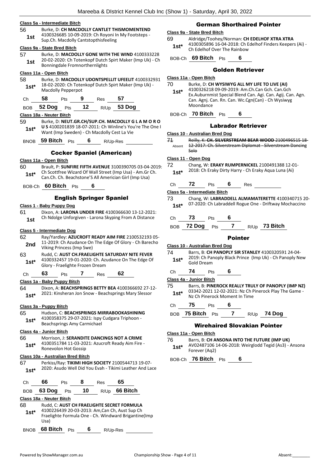#### **Class 5a - Intermediate Bitch**

56 Burke, D: **CH MACDOLLY CANTLET THISMOMENTEND** 4100326685 10-09-2019: Ch Royoni In My Footsteps - Sup.Ch. Macdolly Cantstopthisfeeling **1st**

## **Class 9a - State Bred Bitch**

57 Burke, D: **MACDOLLY GONE WITH THE WIND** 4100333228 20-02-2020: Ch Totenkopf Dutch Spirt Maker (Imp Uk) - Ch 1st 20-02-2020. CH TOLETROPI DUCTER<br>Bonningdale Fromnorthernlights

#### **Class 11a - Open Bitch**

- 58 Burke, D: **MACDOLLY UDONTSPELLIT UFEELIT** 4100332931 18-02-2020: Ch Totenkopf Dutch Spirt Maker (Imp Uk) - **1st**\* 18-02-2020: Ch Tote<br>Macdolly Pepperpot
- Ch **58** Pts **9** Res **57**

BOB **52 Dog** Pts **12** R/Up **53 Dog**

#### **Class 18a - Neuter Bitch**

59 Burke, D: **NEUT.GR.CH/SUP.CH. MACDOLLY G L A M O R O U S** 4100201839 18-07-2011: Ch Winline's You're The One I Want (Imp Sweden) - Ch Macdolly Cest La Vie **1st\***

BNOB **59 Bitch** Pts **6** R/Up-Res

#### Cocker Spaniel (American)

#### **Class 11a - Open Bitch**

60 Brault, P: **SUNFIRE FIFTH AVENUE** 3100390705 03-04-2019: Ch Scottfree Wizard Of Wall Street (Imp Usa) - Am.Gr Ch. **1st**\* Ch. Scottfree wizard Of Wall Street (Imp Usa) - Am.Gr<br>Can.Ch. Ch. Beachstone'S All Americian Girl (Imp Usa)

BOB-Ch **60 Bitch** Pts **6**

#### English Springer Spaniel

#### **Class 1 - Baby Puppy Dog**

61 Dixon, A: **LARONA UNDER FIRE** 4100366630 13-12-2021: Ch Ndolge Unforgiven - Larona Skyping From A Distance **1st**

#### **Class 5 - Intermediate Dog**

62 Ray/Yardley: **AZUCROFT READY AIM FIRE** 2100532193 05- 11-2019: Ch Azudance On The Edge Of Glory - Ch Barecho 2nd <sup>11-2019</sup> CIT Azudance On<br>Viking Princess (Imp Swe) 63 Rudd, C: **AUST CH.FRAELIGHTE SATURDAY NITE FEVER** 4100332457 19-01-2020: Ch. Azudance On The Edge Of Glory - Fraelighte Frozen Dream **1st\*** Ch **63** Pts **7** Res **62 Class 1a - Baby Puppy Bitch** 64 Dixon, A: **BEACHSPRINGS BETTY BEA** 4100366692 27-12- 2021: Kinsheran Jon Snow - Beachsprings Mary Slessor **1st\* Class 3a - Puppy Bitch** 65 Hudson, C: **BEACHSPRINGS MIRRABOOKASHINING** 4100358375 29-07-2021: Ispy Cudgara Triphoon - 1st\*  $410033837329-07-2021$ : Ispy<br>Beachsprings Amy Carmichael **Class 4a - Junior Bitch** 66 Morrison, J: **SERANDITE DANCINGS NOT A CRIME** 4100351784 11-03-2021: Azucroft Ready Aim Fire - 1st<sup>\*</sup> <sup>4100351784</sup> 11-03-20<br>Ronevolon Hot Gossip **Class 10a - Australian Bred Bitch** 67 Perkiss/Ray: **TIKIMI HIGH SOCIETY** 2100544713 19-07- 1st\* 2020: Asudo Well Did You Evah - Tikimi Leather And Lace

| Сh                       | 66       | Pts |    | Res  | 65                                                                                                                                                    |  |
|--------------------------|----------|-----|----|------|-------------------------------------------------------------------------------------------------------------------------------------------------------|--|
| <b>BOB</b>               | 63 Dog   | Pts | 10 | R/Up | 66 Bitch                                                                                                                                              |  |
| Class 18a - Neuter Bitch |          |     |    |      |                                                                                                                                                       |  |
| 68<br>$1st*$             | Usa)     |     |    |      | Rudd, C: AUST CH FRAELIGHTE SECRET FORMULA<br>4100226439 20-03-2013: Am, Can Ch, Aust Sup Ch<br>Fraelighte Formula One - Ch. Windward Brigantine (Imp |  |
|                          | 68 Bitch | Pts |    |      | R/Up-Res                                                                                                                                              |  |

#### German Shorthaired Pointer

#### **Class 9a - State Bred Bitch**

69 Aldridge/Toohey/Norman: **CH EDELHOF XTRA XTRA** 4100305896 16-04-2018: Ch Edelhof Finders Keepers (Ai) - Ch Edelhof Over The Rainbow **1st\***

BOB-Ch **69 Bitch** Pts **6**

#### Golden Retriever

#### **Class 11a - Open Bitch**

- 70 Burke, D: **CH WYSIWYG ALL MY LIFE TO LIVE (AI)**
- 4100326218 09-09-2019: Am.Ch.Can Gch. Can.Gch Ex.Auburnmist Special Blend Can. Agi. Can. Agij. Can. Agn. Can. Agnj. Can. Rn. Can. Wc.Cgn(Can) - Ch Wysiwyg Moondance **1st\***
- BOB-Ch **70 Bitch** Pts **6**

#### Labrador Retriever

#### **Class 10 - Australian Bred Dog**

71 Reilly, K: **CH. SILVERSTREAM BEAR WOOD** 2100496515 18- 12-2017: Ch. Silverstream Diplomat - Silverstream Dancing Solo Absent

#### **Class 11 - Open Dog**

72 Chang, W: **ERAKY RUMPERNICKEL** 2100491388 12-01- 2018: Ch Eraky Dirty Harry - Ch Eraky Aqua Luna (Ai) **1st\***

## Ch **72** Pts **6** Res

**Class 5a - Intermediate Bitch**

- 73 Chang, W: **LABRADDELL ALMAMATERETTE** 4100340715 20- 07-2020: Ch Labraddell Rogue One - Driftway Mochaccino **1st\***
- Ch **73** Pts **6**

BOB **72 Dog** Pts **7** R/Up **73 Bitch**

#### Pointer

#### **Class 10 - Australian Bred Dog**

- 74 Barrs, B: **CH PANOPLY SIR STANLEY** 4100320591 24-04- 2019: Ch Panoply Black Prince (Imp Uk) - Ch Panoply New **1st**\* 2019: Ch Pa
- Ch **74** Pts **6**

**Class 4a - Junior Bitch**

- 75 Barrs, B: **PINEROCK REALLY TRULY OF PANOPLY (IMP NZ)** 03342-2021 12-02-2021: Nz Ch Pinerock Play The Game - **1st\*** 03342-2021 12-02-2021: Nz Ch P<br>Nz Ch Pinerock Moment In Time
- Ch **75** Pts **6**

BOB **75 Bitch** Pts **7** R/Up **74 Dog**

# Wirehaired Slovakian Pointer

#### **Class 11a - Open Bitch**

76 Barrs, B: **CH ANSONA INTO THE FUTURE (IMP UK)** AV02487106 14-06-2018: Weirglodd Tegid (As3) - Ansona

Forever (Aq2) **1st\***

BOB-Ch **76 Bitch** Pts **6**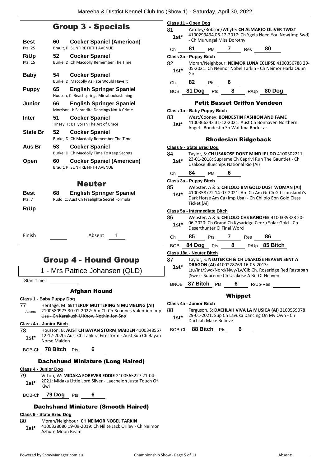# Group 3 - Specials

| Best<br>Pts: 25 | 60 | <b>Cocker Spaniel (American)</b><br>Brault, P: SUNFIRE FIFTH AVENUE            |
|-----------------|----|--------------------------------------------------------------------------------|
| R/Up<br>Pts: 15 | 52 | <b>Cocker Spaniel</b><br>Burke, D: Ch Macdolly Remember The Time               |
| Baby            | 54 | <b>Cocker Spaniel</b><br>Burke, D: Macdolly As Fate Would Have It              |
| <b>Puppy</b>    | 65 | <b>English Springer Spaniel</b><br>Hudson, C: Beachsprings Mirrabookashining   |
| <b>Junior</b>   | 66 | <b>English Springer Spaniel</b><br>Morrison, J: Serandite Dancings Not A Crime |
| Inter           | 51 | <b>Cocker Spaniel</b><br>Tinsey, T: Ballyoran The Art of Grace                 |
| <b>State Br</b> | 52 | <b>Cocker Spaniel</b><br>Burke, D: Ch Macdolly Remember The Time               |
| Aus Br          | 53 | <b>Cocker Spaniel</b><br>Burke, D: Ch Macdolly Time To Keep Secrets            |
| Open            | 60 | Cocker Spaniel (American)<br>Brault, P: SUNFIRE FIFTH AVENUE                   |
|                 |    | Neuter                                                                         |
| Best<br>Pts: 7  | 68 | <b>English Springer Spaniel</b><br>Rudd, C: Aust Ch Fraelighte Secret Formula  |
| R/Up            |    |                                                                                |

Finish Absent **1**

# Group 4 - Hound Group

1 - Mrs Patrice Johansen (QLD)

Start Time:

# Afghan Hound

#### **Class 1 - Baby Puppy Dog**

77 Heritage, M: **SETTERUP MUTTERING N MUMBLING (AI)** 2100580973 30-01-2022: Am Ch Ch Boannes Valentino Imp Usa - Ch Karakush U Know Nothin Jon Sno Absent

#### **Class 4a - Junior Bitch**

- 78 Houston, B: **AUST CH BAYAN STORM MAIDEN** 4100348557 12-12-2020: Aust Ch Tahkira Firestorm - Aust Sup Ch Bayan **1st**\* 12-12-2020: A
- BOB-Ch **78 Bitch** Pts **6**

## Dachshund Miniature (Long Haired)

## **Class 4 - Junior Dog**

- 79 Vittori, W: **MIDAKA FOREVER EDDIE** 2100565227 21-04- 2021: Midaka Little Lord Silver - Laechelon Justa Touch Of 1st<sup>\*</sup> <sup>2021</sup><br>Kiwi
- BOB-Ch **79 Dog** Pts **6**

# Dachshund Miniature (Smooth Haired)

# **Class 9 - State Bred Dog**

- 80 Moran/Neighbour: **CH NEIMOR NOBEL TARKIN**
	- 4100328086 19-09-2019: Ch Nilite Jack Oriley Ch Neimor 1st\* 4100328086 19-09-4<br>Azhure Moon Beam

|                                                       | <u>Class 11 - Open Dog</u>                                                          |                               |             |                                            |                                                        |
|-------------------------------------------------------|-------------------------------------------------------------------------------------|-------------------------------|-------------|--------------------------------------------|--------------------------------------------------------|
| 81                                                    | Yardley/Robson/Whyte: CH ALMARJO OLIVER TWIST                                       |                               |             |                                            |                                                        |
| 1st*                                                  | 4100299494 06-12-2017: Ch Ygeia Need You Now(Imp Swd)<br>- Ch Murungal Miss Dorothy |                               |             |                                            |                                                        |
| Ch                                                    | 81                                                                                  | Pts                           | $7^{\circ}$ | Res                                        | 80                                                     |
|                                                       | Class 3a - Puppy Bitch                                                              |                               |             |                                            |                                                        |
| 82                                                    |                                                                                     |                               |             |                                            | Moran/Neighbour: NEIMOR LUNA ECLIPSE 4100356788 29-    |
| 1st*                                                  | Girl                                                                                |                               |             |                                            | 05-2021: Ch Neimor Nobel Tarkin - Ch Neimor Harla Qunn |
| Ch                                                    | 82                                                                                  | <b>Pts</b>                    | 6           |                                            |                                                        |
|                                                       |                                                                                     |                               |             |                                            | BOB 81 Dog Pts 8 R/Up 80 Dog                           |
|                                                       |                                                                                     |                               |             |                                            | <b>Petit Basset Griffon Vendeen</b>                    |
|                                                       |                                                                                     | Class 1a - Baby Puppy Bitch   |             |                                            |                                                        |
| 83                                                    |                                                                                     |                               |             |                                            | West/Cooney: BONDESTIN FASHION AND FAME                |
| 1st*                                                  |                                                                                     |                               |             |                                            | 4100366243 31-12-2021: Aust Ch Bonhaven Northern       |
|                                                       |                                                                                     |                               |             | Angel - Bondestin So Wat Ima Rockstar      |                                                        |
|                                                       |                                                                                     |                               |             | Rhodesian Ridgeback                        |                                                        |
|                                                       | <b>Class 9 - State Bred Dog</b>                                                     |                               |             |                                            |                                                        |
| 84                                                    |                                                                                     |                               |             |                                            | Taylor, S: CH USAKOSE DONT MIND IF I DO 4100302211     |
| $1st*$                                                |                                                                                     |                               |             |                                            | 23-01-2018: Supreme Ch Caprivi Run The Gauntlet - Ch   |
|                                                       |                                                                                     |                               |             | Usakose Bluechips National Rio (Ai)        |                                                        |
| Ch                                                    | 84                                                                                  | Pts                           | 6           |                                            |                                                        |
|                                                       | Class 3a - Puppy Bitch                                                              |                               |             |                                            |                                                        |
| 85                                                    |                                                                                     |                               |             |                                            | Webster, A & S: CHILOLO BM GOLD DUST WOMAN (AI)        |
| 1st*                                                  |                                                                                     |                               |             |                                            | 4100358772 14-07-2021: Am Ch Am Gr Ch Gd Lionslamb's   |
|                                                       | Ticket (Ai)                                                                         |                               |             |                                            | Dark Horse Am Ca (Imp Usa) - Ch Chilolo Ebn Gold Class |
|                                                       |                                                                                     |                               |             |                                            |                                                        |
| 86                                                    |                                                                                     | Class 5a - Intermediate Bitch |             |                                            | Webster, A & S: CHILOLO CHS BANOFEE 4100339328 20-     |
|                                                       |                                                                                     |                               |             |                                            | 06-2020: Ch Grand Ch Kysaridge Ceezu Solar Gold - Ch   |
| 1st*                                                  |                                                                                     | Deserthunter CI Final Word    |             |                                            |                                                        |
| Ch                                                    | 85 —                                                                                | Pts                           |             | $7$ Res                                    | -86                                                    |
| <b>BOB</b>                                            | 84 Dog                                                                              | Pts                           | 8           |                                            | R/Up 85 Bitch                                          |
|                                                       | <u> Class 18a - Neuter Bitch</u>                                                    |                               |             |                                            |                                                        |
| 87<br>Taylor, S: NEUTER CH & CH USAKOSE HEAVEN SENT A |                                                                                     |                               |             |                                            |                                                        |
| DRAGON (AI) 4100228769 16-05-2013:<br>$1st^*$         |                                                                                     |                               |             |                                            |                                                        |
|                                                       |                                                                                     |                               |             |                                            | Ltu/Int/Swd/Nord/Nwy/Lv/Cib Ch. Roseridge Red Rastaban |
|                                                       |                                                                                     |                               |             | (Swe) - Supreme Ch Usakose A Bit Of Heaven |                                                        |
| BNOB                                                  |                                                                                     | 87 Bitch Pts                  | 6           | R/Up-Res                                   |                                                        |
|                                                       |                                                                                     |                               | Whippet     |                                            |                                                        |
|                                                       | Class 4a - Junior Bitch                                                             |                               |             |                                            |                                                        |

- 88 Ferguson, S: **DACHLAH VIVA LA MUSICA (AI)** 2100559078
	- 29-01-2021: Sup Ch Lavuka Dancing On My Own Ch **1st**\* 29-01-2021: Sup Ch La<br>Dachlah Make Believe
- BOB-Ch **88 Bitch** Pts **6**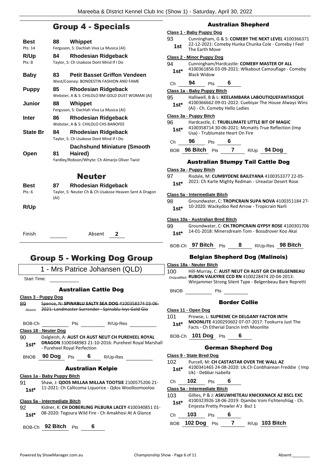# Group 4 - Specials

| Best            | Whippet<br>88                                                                                        |
|-----------------|------------------------------------------------------------------------------------------------------|
| Pts: 14         | Ferguson, S: Dachlah Viva La Musica (AI)                                                             |
| R/Up            | 84<br><b>Rhodesian Ridgeback</b>                                                                     |
| Pts: 8          | Taylor, S: Ch Usakose Dont Mind If I Do                                                              |
| <b>Baby</b>     | <b>Petit Basset Griffon Vendeen</b><br>83<br>West/Cooney: BONDESTIN FASHION AND FAME                 |
| <b>Puppy</b>    | <b>Rhodesian Ridgeback</b><br>85<br>Webster, A & S: CHILOLO BM GOLD DUST WOMAN (AI)                  |
| <b>Junior</b>   | Whippet<br>88<br>Ferguson, S: Dachlah Viva La Musica (AI)                                            |
| Inter           | <b>Rhodesian Ridgeback</b><br>86<br>Webster, A & S: CHILOLO CHS BANOFEE                              |
| <b>State Br</b> | 84<br><b>Rhodesian Ridgeback</b><br>Taylor, S: Ch Usakose Dont Mind If I Do                          |
| Open            | <b>Dachshund Miniature (Smooth</b><br>81<br>Haired)<br>Yardley/Robson/Whyte: Ch Almarjo Oliver Twist |
|                 | <b>Neuter</b>                                                                                        |
| Best<br>Pts: 6  | 87<br><b>Rhodesian Ridgeback</b><br>Taylor, S: Neuter Ch & Ch Usakose Heaven Sent A Dragon<br>(AI)   |
| R/Up            |                                                                                                      |
| Finish          | Absent<br>2                                                                                          |
|                 | <b>Group 5 - Working Dog Group</b>                                                                   |
|                 | 1 - Mrs Patrice Johansen (QLD)                                                                       |
| Start Time:     |                                                                                                      |
|                 | <b>Australian Cattle Dog</b>                                                                         |
|                 | Class 3 - Puppy Dog                                                                                  |
| 89.             | Spence, N: SPINABLU SALTY SEA DOG 4100358374 03-06-                                                  |
| Absent          | 2021: Landmaster Surrender - Spinablu Ivys Gold Gio                                                  |
|                 | BOB-Ch Pts R/Up-Res                                                                                  |
|                 | Class 18 - Neuter Dog                                                                                |
| 90              | Dalgleish, A: AUST CH AUST NEUT CH PUREHEEL ROYAL                                                    |
|                 |                                                                                                      |

**DRAGON** 3100348983 21-10-2016: Pureheel Royal Marshall - Pureheel Royal Perfection **1st\***

BNOB **90 Dog** Pts **6** R/Up-Res

#### Australian Kelpie

**Class 1a - Baby Puppy Bitch**

91 Shaw, J: **QDOS MILLAA MILLAA TOOTSIE** 2100575206 21- 11-2021: Ch Callicoma Liquorice - Qdos Woolloomooloo **1st\***

#### **Class 5a - Intermediate Bitch**

- 92 Kidner, K: **CH DOBERLING PILBURA LACEY** 4100340851 01- 08-2020: Tegoura Wild Fire - Ch Amakhosi At A Glance **1st\***
- BOB-Ch **92 Bitch** Pts **6**

# Australian Shepherd

#### **Class 1 - Baby Puppy Dog**

93 Cunningham, G & S: **COMEBY THE NEXT LEVEL** 4100366371 22-12-2021: Comeby Hunka Chunka Cole - Comeby I Feel **1st** <sup>22-12-2021: Cor<br>The Earth Move</sup>

#### **Class 2 - Minor Puppy Dog**

94 Cunningham/Hardcastle: **COMEBY MASTER OF ALL** 4100361856 03-09-2021: Wlkabout Camouflage - Comeby 1st<sup>\*</sup> <sup>4100361856</sup><br>Black Widow

Ch **94** Pts **6**

**Class 1a - Baby Puppy Bitch**

95 Halliwell, B & L: **KEELAMBARA LABOUTIQUEFANTASQUE** 4100366662 09-01-2022: Cuebiyar The House Always Wins (Ai) - Ch. Comeby Hello Ladies **1st\***

#### **Class 3a - Puppy Bitch**

- 96 Hardcastle, E: **TRUBLUMATE LITTLE BIT OF MAGIC** 4100358714 30-06-2021: Mcmatts True Reflection (Imp **1st**\* 4100358714 30-06-2021: Mcma<br>Usa) - Trublumate Heart On Fire
- Ch **96** Pts **6**

BOB **96 Bitch** Pts **7** R/Up **94 Dog**

## Australian Stumpy Tail Cattle Dog

#### **Class 3a - Puppy Bitch**

97 Risdale, M: **CUMBYDENE BAILEYANA** 4100353377 22-05-

# 1st\* 2021: Ch Karte Mighty Redman - Ureastar Desert Rose

#### **Class 5a - Intermediate Bitch**

| 98     | Groundwater, C: TROPICRAIN SUPA NOVA 4100351184 27- |
|--------|-----------------------------------------------------|
| $1st*$ | 10-2020: Wackydoo Red Arrow - Tropicrain Narli      |

#### **Class 10a - Australian Bred Bitch**

99 Groundwater, C: **CH.TROPICRAIN GYPSY ROSE** 4100301706 1st\* 14-01-2018: Minersdream Tom - Bossdrover Koo Akai

# BOB-Ch **97 Bitch** Pts **8** R/Up-Res **98 Bitch**

# Belgian Shepherd Dog (Malinois)

**Class 18a - Neuter Bitch** 100 Hill-Murray, C: **AUST NEUT CH AUST GR CH BELGENBEAU RUBON VALKYRIE CCD RN** 4100228474 20-04-2013: Disqualified Winjammer Strong Silent Type - Belgenbeau Bare Repretti BNOB Pts

Border Collie

#### **Class 11 - Open Dog**

101 Prowse, L: **SUPREME CH DELGANY FACTOR INTH MOONLITE** 4100293602 07-07-2017: Tookurra Just The Facts - Ch Etherial Dancin Inth Moonlite **1st\***

BOB-Ch **101 Dog** Pts **6**

## German Shepherd Dog

|        | Class 9 - State Bred Dog      |                                                                                |                                   |  |                                                      |  |
|--------|-------------------------------|--------------------------------------------------------------------------------|-----------------------------------|--|------------------------------------------------------|--|
| 102    |                               | Purcell, M: CH CASTASTAR OVER THE WALL AZ                                      |                                   |  |                                                      |  |
| $1st*$ |                               | 4100341465 24-08-2020: Uk.Ch Conbhairean Freddie (Imp<br>Uk) - Debbar Isabella |                                   |  |                                                      |  |
| Ch     | 102                           | Pts                                                                            | 6                                 |  |                                                      |  |
|        | Class 5a - Intermediate Bitch |                                                                                |                                   |  |                                                      |  |
| 103    |                               |                                                                                |                                   |  | Gillies, P & J: ASKUWHETEAU KNICKKNACK AZ BSCL EXC   |  |
| $1st*$ |                               |                                                                                |                                   |  | 4100323926 18-06-2019: Djambo Vom Fichtenshlag - Ch. |  |
|        |                               |                                                                                | Emjesta Pretty Prowler A'z Bscl 1 |  |                                                      |  |
| Ch     | 103                           | Pts                                                                            | 6                                 |  |                                                      |  |
| BOB    | <b>102 Dog</b>                | Pts                                                                            |                                   |  | 103 Bitch                                            |  |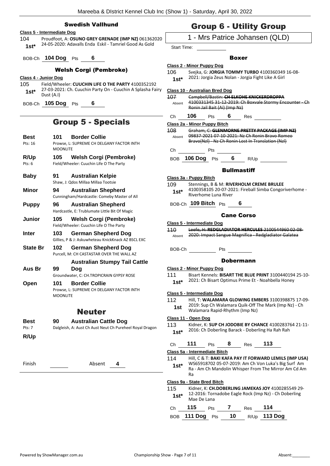## Swedish Vallhund

### **Class 5 - Intermediate Dog**

104 Proudfoot, A: **OSUNO GREY GRENADE (IMP NZ)** 061362020 24-05-2020: Adavalls Enda Eskil - Tamriel Good As Gold **1st\***

BOB-Ch **104 Dog** Pts **6**

## Welsh Corgi (Pembroke)

- **Class 4 - Junior Dog**
- 105 Field/Wheeler: **CUUCHIN LIFE O THE PARTY** 4100352192 27-03-2021: Ch. Cuuchin Party On - Cuuchin A Splasha Fairy **1st**\*  $\frac{27-03-20}{\text{Dust (A.1)}}$
- BOB-Ch **105 Dog** Pts **6**

# Group 5 - Specials

**Best 101 Border Collie** Pts: 16 Prowse, L: SUPREME CH DELGANY FACTOR INTH MOONLITE **R/Up 105 Welsh Corgi (Pembroke)** Pts: 6 Field/Wheeler: Cuuchin Life O The Party **Baby 91 Australian Kelpie** Shaw, J: Qdos Millaa Millaa Tootsie **Minor 94 Australian Shepherd** Cunningham/Hardcastle: Comeby Master of All **Puppy 96 Australian Shepherd** Hardcastle, E: Trublumate Little Bit Of Magic **Junior 105 Welsh Corgi (Pembroke)** Field/Wheeler: Cuuchin Life O The Party **Inter 103 German Shepherd Dog** Gillies, P & J: Askuwheteau KnickKnack AZ BSCL EXC **State Br 102 German Shepherd Dog** Purcell, M: CH CASTASTAR OVER THE WALL AZ **Aus Br 99 Australian Stumpy Tail Cattle Dog** Groundwater, C: CH.TROPICRAIN GYPSY ROSE **Open 101 Border Collie** Prowse, L: SUPREME CH DELGANY FACTOR INTH MOONLITE Neuter **Best 90 Australian Cattle Dog** Pts: 7 Dalgleish, A: Aust Ch Aust Neut Ch Pureheel Royal Dragon **R/Up** Finish Absent **4**

# Group 6 - Utility Group

# 1 - Mrs Patrice Johansen (QLD)

Start Time:

# Boxer

#### **Class 2 - Minor Puppy Dog**

- 106 Svejka, G: **JORGIA TOMMY TURBO** 4100360349 16-08-
	- 2021: Jorgia Zeus Nolan Jorgia Fight Like A Girl **1st\***

**Class 10 - Australian Bred Dog**

107 Campbell/Bastin: **CH ELKOHE KNICKERDROPPA** 4100331345 31-12-2019: Ch Boxvale Stormy Encounter - Ch Ronin Jail Bait (Ai) (Imp Nz) Absent

Ch **106** Pts **6** Res

#### **Class 2a - Minor Puppy Bitch**

108 Graham, C: **GLENMORNE PRETTY PACKAGE (IMP NZ)** 09837-2021 07-10-2021: Nz Ch Ronin Bravo Romeo Bravo(Nzl) - Nz Ch Ronin Lost In Translation (Nzl) Absent

Ch Pts

BOB **106 Dog** Pts **6** R/Up

# **Bullmastiff**

|        | Class 3a - Puppy Bitch                                 |
|--------|--------------------------------------------------------|
| 109    | Stennings, B & M: RIVERHOLM CREME BRULEE               |
| $1st*$ | 4100358105 20-07-2021: Fireball Simba Congoriverhome - |
|        | Riverhome Luna River                                   |

BOB-Ch **109 Bitch** Pts **6**

## Cane Corso

#### **Class 5 - Intermediate Dog**

- 110 Leefe, H: **REDGLADIATOR HERCULES** 2100544960 02-08- Absent 2020: Impact Sangue Magnifica - Redgladiator Galatea
- BOB-Ch Pts

#### Dobermann

#### **Class 2 - Minor Puppy Dog**

111 Bisart Kennels: **BISART THE BLUE PRINT** 3100440194 25-10- 2021: Ch Bisart Optimus Prime Et - Noahbella Honey **1st\***

#### **Class 5 - Intermediate Dog**

112 Hill, T: **WALAMARA GLOWING EMBERS** 3100398875 17-09- 2019: Sup Ch Walamara Quik-Off The Mark (Imp Nz) - Ch Walamara Rapid-Rhythm (Imp Nz) **1st**

#### **Class 11 - Open Dog**

113 Kidner, K: **SUP CH JODOBIE BY CHANCE** 4100283764 21-11- 2016: Ch Doberling Barack - Doberling Ha Rah Rah **1st\***

```
Ch 111 Pts 8 Res 113
```
**Class 5a - Intermediate Bitch**

114 Hill, C & T: **BAKI KAFA PAY IT FORWARD LEMILS (IMP USA)** WS65918702 05-07-2019: Am Ch Von Luka's Big Surf Am Ra - Am Ch Mandolin Whisper From The Mirror Am Cd Am Ra **1st\***

#### **Class 9a - State Bred Bitch**

115 Kidner, K: **CH.DOBERLING JAMEKAS JOY** 4100285549 29- 12-2016: Tornadobe Eagle Rock (Imp Nz) - Ch Doberling Mae De Lana **1st\***

| Ch | 115 | <b>Pts</b> | Res | - 114                           |
|----|-----|------------|-----|---------------------------------|
|    |     |            |     | BOB 111 Dog Pts 10 R/Up 113 Dog |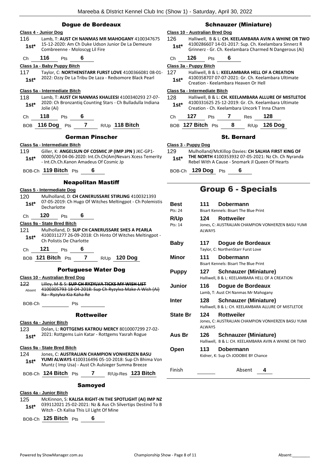| <b>Dogue de Bordeaux</b>                                                                                                                               | <b>Schnauzer (Miniature)</b>                                                                                                                                                            |
|--------------------------------------------------------------------------------------------------------------------------------------------------------|-----------------------------------------------------------------------------------------------------------------------------------------------------------------------------------------|
| Class 4 - Junior Dog                                                                                                                                   | Class 10 - Australian Bred Dog                                                                                                                                                          |
| 116<br>Lamb, T: AUST CH NANMAS MR MAHOGANY 4100347675<br>15-12-2020: Am Ch Duke Udson Junior De La Demeure<br>$1st*$<br>Combreenne - Moloscyg Lil Fire | 126<br>Halliwell, B & L: CH. KEELAMBARA AVIN A WHINE OR TWO<br>4100286607 14-01-2017: Sup. Ch. Keelambara Sinnerz R<br>$1st*$<br>Grinnerz - Gr. Ch. Keelambara Charmed N Dangerous (Ai) |
| 6<br>116<br>Pts<br>Ch                                                                                                                                  | 126<br>6<br>Pts<br>Ch                                                                                                                                                                   |
| Class 1a - Baby Puppy Bitch                                                                                                                            | Class 3a - Puppy Bitch                                                                                                                                                                  |
| 117<br>Taylor, C: NORTHENSTARR FURST LOVE 4100366081 08-01-<br>2022: Ozzy De La Tribu De Laza - Redsomore Black Pearl<br>$1st*$                        | 127<br>Halliwell, B & L: KEELAMBARA HELL OF A CREATION<br>4100358707 07-07-2021: Gr. Ch. Keelambara Ultimate<br>$1st*$<br>Creation - Keelambara Heaven Or Hell                          |
| Class 5a - Intermediate Bitch                                                                                                                          | Class 5a - Intermediate Bitch                                                                                                                                                           |
| 118<br>Lamb, T: AUST CH NANMAS KHALEESI 4100340293 27-07-<br>2020: Ch Bronzantiq Counting Stars - Ch Bulladulla Indiana<br>$1st*$<br>Jolie (Ai)        | 128<br>Halliwell, B & L: CH. KEELAMBARA ALLURE OF MISTLETOE<br>4100331625 25-12-2019: Gr. Ch. Keelambara Ultimate<br>$1st*$<br>Creation - Ch. Keelambara Uncork T Inna Charm            |
| 118<br>Pts<br>6<br>Ch                                                                                                                                  | 128<br>127<br>Pts<br>$\overline{7}$<br>Res<br>Ch                                                                                                                                        |
| 7 $R/Up$ 118 Bitch<br>BOB 116 Dog Pts                                                                                                                  | $8 -$<br>R/Up 126 Dog<br>BOB 127 Bitch Pts                                                                                                                                              |
| <b>German Pinscher</b>                                                                                                                                 | <b>St. Bernard</b>                                                                                                                                                                      |
| Class 5a - Intermediate Bitch                                                                                                                          | Class 3 - Puppy Dog                                                                                                                                                                     |
| 119<br>Giller, K: ANGELSUN OF COSMIC JP (IMP JPN) JKC-GP1-<br>00005/20 04-06-2020: Int.Ch.Ch(Am)Nevars Xcess Temerity<br>$1st*$                        | 129<br>Mulholland/McKillop Davies: CH SALHIA FIRST KING OF<br>THE NORTH 4100353932 07-05-2021: Nz Ch. Ch Nyranda<br>$1st*$                                                              |
| - Int.Ch.Ch.Kanon Amadeus Of Cosmic Jp<br>BOB-Ch 119 Bitch Pts<br>6                                                                                    | Rebel With A Cause - Snomark JJ Queen Of Hearts<br>BOB-Ch 129 Dog Pts<br>6                                                                                                              |
| <b>Neapolitan Mastiff</b>                                                                                                                              |                                                                                                                                                                                         |
| Class 5 - Intermediate Dog                                                                                                                             | <b>Group 6 - Specials</b>                                                                                                                                                               |
| 120<br>Mulholland, D: CH CANERUSSARE STIRLING 4100321393                                                                                               |                                                                                                                                                                                         |
| 07-05-2019: Ch Hugo Of Witches Meltingpot - Ch Polemistis<br>$1st*$<br>Decharlotte                                                                     | <b>Best</b><br>111<br>Dobermann<br>Pts: 24<br>Bisart Kennels: Bisart The Blue Print                                                                                                     |
| 120<br>6<br>Pts<br>Ch                                                                                                                                  | R/Up<br>124<br><b>Rottweiler</b>                                                                                                                                                        |
| Class 9a - State Bred Bitch                                                                                                                            | Pts: 14<br>Jones, C: AUSTRALIAN CHAMPION VONHERZEN BASU YUMI                                                                                                                            |
| 121<br>Mulholland, D: SUP CH CANERUSSARE SHES A PEARLA<br>4100311277 26-09-2018: Ch Hinto Of Witches Meltingpot -<br>$1st*$                            | <b>ALWAYS</b>                                                                                                                                                                           |
| Ch Polistis De Charlotte<br>121<br>6<br>Pts<br>Сh                                                                                                      | <b>Baby</b><br>117<br>Dogue de Bordeaux<br>Taylor, C: NorthenStarr Furst Love                                                                                                           |
| $\overline{7}$<br>BOB 121 Bitch Pts<br><b>120 Dog</b><br>R/Up                                                                                          | 111<br>Minor<br>Dobermann<br>Bisart Kennels: Bisart The Blue Print                                                                                                                      |
| <b>Portuguese Water Dog</b>                                                                                                                            | 127<br><b>Puppy</b><br><b>Schnauzer (Miniature)</b>                                                                                                                                     |
| Class 10 - Australian Bred Dog                                                                                                                         | Halliwell, B & L: KEELAMBARA HELL OF A CREATION                                                                                                                                         |
| Lilley, M & S: SUP CH RYZYLVA TICKS MY WISH LIST<br>122<br>4100305793 18-04-2018: Sup Ch Ryzylva Make A Wish (Ai)<br>Absent<br>Ra Ryzylva Kia Kaha Re  | 116<br>Junior<br>Doque de Bordeaux<br>Lamb, T: Aust CH Nanmas Mr Mahogany                                                                                                               |
|                                                                                                                                                        | 128<br><b>Schnauzer (Miniature)</b><br>Inter<br>Halliwell, B & L: CH. KEELAMBARA ALLURE OF MISTLETOE                                                                                    |
| <b>Rottweiler</b>                                                                                                                                      | <b>State Br</b><br>124<br><b>Rottweiler</b>                                                                                                                                             |
| Class 4a - Junior Bitch                                                                                                                                | Jones, C: AUSTRALIAN CHAMPION VONHERZEN BASU YUMI<br><b>ALWAYS</b>                                                                                                                      |
| Dolan, L: ROTTGEMS KATROU MERCY 8010007299 27-02-<br>123<br>2021: Rottgems Luin Katar - Rottgems Yasrah Rogue<br>$1st*$                                | Aus Br<br>126<br><b>Schnauzer (Miniature)</b>                                                                                                                                           |
| Class 9a - State Bred Bitch                                                                                                                            | Halliwell, B & L: CH. KEELAMBARA AVIN A WHINE OR TWO                                                                                                                                    |
| 124<br>Jones, C: AUSTRALIAN CHAMPION VONHERZEN BASU<br>YUMI ALWAYS 4100316496 05-10-2018: Sup Ch Bhima Von<br>$1st*$                                   | 113<br>Open<br><b>Dobermann</b><br>Kidner, K: Sup Ch JODOBIE BY Chance                                                                                                                  |
| Muntz (Imp Usa) - Aust Ch Aulsieger Summa Breeze<br>BOB-Ch 124 Bitch Pts 7 R/Up-Res 123 Bitch                                                          | Finish<br>Absent<br>4                                                                                                                                                                   |
| <b>Samoyed</b>                                                                                                                                         |                                                                                                                                                                                         |
| Class 4a - Junior Bitch                                                                                                                                |                                                                                                                                                                                         |
| 125<br>McKinnon, S: KALISA RIGHT-IN THE SPOTLIGHT (AI) IMP NZ                                                                                          |                                                                                                                                                                                         |
| 039112021 25-02-2021: Nz & Aus Ch Silvertips Destind To B<br>$1st*$<br>Witch - Ch Kalisa This Lil Light Of Mine                                        |                                                                                                                                                                                         |

BOB-Ch **125 Bitch** Pts **6**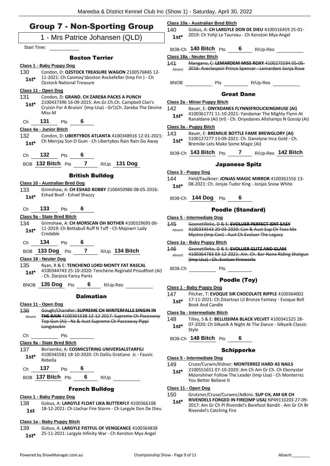**Class 10a - Australian Bred Bitch**

| <b>Group 7 - Non-Sporting Group</b> |  |
|-------------------------------------|--|
| 1 - Mrs Patrice Johansen (QLD)      |  |

Start Time:

#### Boston Terrier

#### **Class 1 - Baby Puppy Dog**

| 130    | Condon, D: OZSTOCK TREASURE WAGON 2100576845 12-      |
|--------|-------------------------------------------------------|
| $1st*$ | 11-2021: Ch Canmoy'sboston Rockefeller (Imp Fin) - Ch |
|        | <b>Ozstock National Treasure</b>                      |

#### **Class 11 - Open Dog**

- 131 Condon, D: **GRAND. CH ZAREBA PACKS A PUNCH** 2100437396 16-09-2015: Am.Gr.Ch.Ch. Campbell Clan's Cruisin For A Bruisin' (Imp Usa) - Gr\\Ch. Zareba The Devine Miss M **1st\***
- Ch **131** Pts **6**

#### **Class 4a - Junior Bitch**

- 132 Condon, D: **LIBERTYBOS ATLANTA** 4100348916 12-01-2021: Ch Merrjay Son O Gum - Ch Libertybos Rain Rain Go Away **1st\***
- Ch **132** Pts **6**

BOB **132 Bitch** Pts **7** R/Up **131 Dog**

#### British Bulldog

- **Class 10 - Australian Bred Dog**
- 133 Grimshaw, A: **CH ESHAD BOBBY** 2100450986 08-05-2016: Eshad Boof - Eshad Shazzy **1st\***
- Ch **133** Pts **6**

#### **Class 9a - State Bred Bitch**

- 134 Grimshaw, A: **CH MORSCAN OH BOTHER** 4100329695 06- 11-2019: Ch Bettabull Ruff N Tuff - Ch Majowrr Lady Credable **1st\***
- Ch **134** Pts **6**
- BOB **133 Dog** Pts **7** R/Up **134 Bitch**

**Class 18 - Neuter Dog**

- 135 Ryan, R & E: **TENCHENO LORD MONTY FAT RASCAL** 4100344743 25-10-2020: Tencheno Reginald Proudfoot (Ai) - Ch. Darjoce Fancy Pants **1st\***
- BNOB **135 Dog** Pts **6** R/Up-Res

Dalmatian

**Class 11 - Open Dog** 136 Gough/Chandler: **SUPREME CH WINTERFALLS SINGIN IN THE RAIN** 4100301538 12-12-2017: Supreme Ch Paceaway Top Gun (Ai) - Nz & Aust Supreme Ch Paceaway Pippi Longstockin Absent Ch Pts **Class 9a - State Bred Bitch** 137 Borisenko, A: **COSMICSTRING UNIVERSALSTARFILI** 4100345581 18-10-2020: Ch Dalilu Gratiano Jc - Fauvic Rebella **1st\*** Ch **137** Pts **6**

# BOB **137 Bitch** Pts **6** R/Up

#### French Bulldog

#### **Class 1 - Baby Puppy Dog**

138 Gobus, A: **LARGYLE FLOAT LIKA BUTTERFLY** 4100366108 18-12-2021: Ch Llachar Fire Storm - Ch Largyle Don De Dieu **1st**

#### **Class 1a - Baby Puppy Bitch**

139 Gobus, A: **LARGYLE FISTFUL OF VENGEANCE** 4100364838 1st\* 25-11-2021: Largyle Infinity War - Ch Kenston Mya Angel

| $1st*$         | 2019: Ch Yohji Le Taureau - Ch Kenston Mya Angel                                                                                           |  |  |  |  |  |
|----------------|--------------------------------------------------------------------------------------------------------------------------------------------|--|--|--|--|--|
|                | BOB-Ch <b>140 Bitch</b> Pts<br>6<br>R/Up-Res                                                                                               |  |  |  |  |  |
|                | Class 18a - Neuter Bitch                                                                                                                   |  |  |  |  |  |
| 141<br>Absent  | Mangano, C: LEMARDEM MISS ROXY 4100275594 05-06-<br>2016: Aveclespoir Prince Spencer - Lemardem Sonja Rose                                 |  |  |  |  |  |
| <b>BNOB</b>    | Pts<br>R/Up-Res                                                                                                                            |  |  |  |  |  |
|                | <b>Great Dane</b>                                                                                                                          |  |  |  |  |  |
|                | Class 2a - Minor Puppy Bitch                                                                                                               |  |  |  |  |  |
| 142            | Bauer, E: ONYXDANES FLYNNSFROLICKINGMUSE (AI)                                                                                              |  |  |  |  |  |
| $1st^*$        | 4100361771 11-10-2021: Yandamar The Mighty Flynn At<br>Ranaldane (Ai) (Irl) - Ch. Onyxdanes Allshamps N Gossip (Ai)                        |  |  |  |  |  |
|                | Class 3a - Puppy Bitch                                                                                                                     |  |  |  |  |  |
| 143<br>$1st^*$ | Bauer, E: BREMILIE BOTTLE FAME BREWGLORY (AI)<br>5100127277 13-09-2021: Ch. Danelyne Inca Gold - Ch.<br>Bremilie Lets Make Some Magic (Ai) |  |  |  |  |  |
|                | $_{\rm BOB\text{-}Ch}$ 143 Bitch $_{\rm Pts}$<br>R/Up-Res 142 Bitch                                                                        |  |  |  |  |  |

140 Gobus, A: **CH LARGYLE DON DE DIEU** 4100316459 25-01-

#### Japanese Spitz

#### **Class 3 - Puppy Dog**

- 144 Field/Faulkner: **JONJAS MAGIC MIRROR** 4100361556 13- 08-2021: Ch. Jonjas Tudor King - Jonjas Snow White **1st\***
	-

# BOB-Ch **144 Dog** Pts **6**

## Poodle (Standard)

**Class 5 - Intermediate Dog**

| 145    | Goonetilleke, D & S: EVOLUER PERFECT ISNT EASY   |
|--------|--------------------------------------------------|
| Absent | 4100334543 20-03-2020: Can & Aust Sup Ch Tees Me |

- Mystro (Imp Can) Aust Ch Evoluer The Legacy **Class 1a - Baby Puppy Bitch**
- 146 Goonetilleke, D & S: **EVOLUER GLITZ AND GLAM** 4100364783 03-12-2021: Am. Ch. Bar-None Riding Shotgun (Imp Usa) Ch. Evoluer Fireworks Absent
- BOB-Ch Pts

#### Poodle (Toy)

- **Class 1 - Baby Puppy Dog**
- 147 Pitcher, T: **EVOQUE SIR CHOCOLATE RIPPLE** 4100364002 17-11-2021: Ch Zstartoys Lil Bronze Fantasy - Evoque Bell 1st<sup>\*</sup> 1/-11-2021: Ch 2<br>Book And Candle

#### **Class 5a - Intermediate Bitch**

148 Tilley, S & E: **BELLISSIMA BLACK VELVET** 4100341325 28- 07-2020: Ch Silkyelk A Night At The Dance - Silkyelk Classic  $1$ st<sup>\*</sup>  $\frac{07-20}{5}$ 

BOB-Ch **148 Bitch** Pts **6**

#### **Schipperke**

#### **Class 5 - Intermediate Dog**

- 149 Cruze/Curwin/Kidner: **MONTERREZ HARD AS NAILS**
- 2100551651 07-10-2020: Am Ch Am Gr Ch. Ch Ebonystar Moonshiner Follow The Leader (Imp Usa) - Ch Monterrez You Better Believe It **1st\***
- **Class 11 - Open Dog**
- 150 Grutzner/Cruse/Curwen/Adkins: **SUP CH, AM GR CH** 
	- **RIVENDELS FORGED IN FIRE(IMP USA)** NP49110203 27-09- 2017: Am Gr Ch Pl Rivendel's Barefoot Bandit - Am Gr Ch Br Rivendel's Catching Fire **1st\***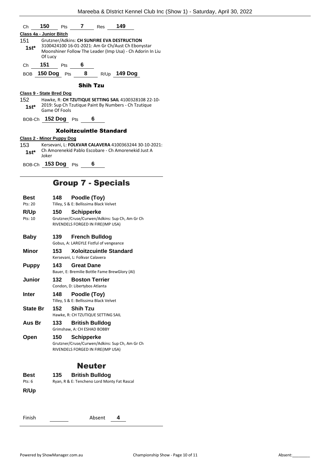| Ch                                                                                                                                    |                                                                                                                                                                          |     |                 | 150 Pts 7 Res 149              |                     |  |  |  |
|---------------------------------------------------------------------------------------------------------------------------------------|--------------------------------------------------------------------------------------------------------------------------------------------------------------------------|-----|-----------------|--------------------------------|---------------------|--|--|--|
| Class 4a - Junior Bitch                                                                                                               |                                                                                                                                                                          |     |                 |                                |                     |  |  |  |
| 151<br>1st*                                                                                                                           | Grutzner/Adkins: CH SUNFIRE EVA DESTRUCTION<br>3100424100 16-01-2021: Am Gr Ch/Aust Ch Ebonystar<br>Moonshiner Follow The Leader (Imp Usa) - Ch Adorin In Liu<br>Of Lucy |     |                 |                                |                     |  |  |  |
| Ch                                                                                                                                    | 151                                                                                                                                                                      | Pts | - 6             |                                |                     |  |  |  |
|                                                                                                                                       | BOB 150 Dog Pts                                                                                                                                                          |     | 8 <sup>1</sup>  |                                | R/Up <b>149 Dog</b> |  |  |  |
|                                                                                                                                       |                                                                                                                                                                          |     | <b>Shih Tzu</b> |                                |                     |  |  |  |
| Class 9 - State Bred Dog                                                                                                              |                                                                                                                                                                          |     |                 |                                |                     |  |  |  |
| 152<br>$1st^*$                                                                                                                        | Hawke, R: CH TZUTIQUE SETTING SAIL 4100328108 22-10-<br>2019: Sup Ch Tzutique Paint By Numbers - Ch Tzutique<br>Game Of Fools                                            |     |                 |                                |                     |  |  |  |
|                                                                                                                                       | BOB-Ch 152 Dog Pts                                                                                                                                                       |     |                 | 6                              |                     |  |  |  |
|                                                                                                                                       |                                                                                                                                                                          |     |                 | <b>Xoloitzcuintle Standard</b> |                     |  |  |  |
| Class 2 - Minor Puppy Dog                                                                                                             |                                                                                                                                                                          |     |                 |                                |                     |  |  |  |
| 153.<br>Kersevani. L: FOLKVAR CALAVERA 4100363244 30-10-2021:<br>Ch Amorenekid Pablo Escobare - Ch Amorenekid Just A<br>1st*<br>loker |                                                                                                                                                                          |     |                 |                                |                     |  |  |  |
|                                                                                                                                       | BOB-Ch 153 Dog Pts                                                                                                                                                       |     |                 | 6                              |                     |  |  |  |
|                                                                                                                                       | <b>Group 7 - Specials</b>                                                                                                                                                |     |                 |                                |                     |  |  |  |

| Best<br>Pts: 20 | Poodle (Toy)<br>148<br>Tilley, S & E: Bellissima Black Velvet                                                   |  |  |
|-----------------|-----------------------------------------------------------------------------------------------------------------|--|--|
| R/Up<br>Pts: 10 | <b>Schipperke</b><br>150<br>Grutzner/Cruse/Curwen/Adkins: Sup Ch, Am Gr Ch<br>RIVENDELS FORGED IN FIRE(IMP USA) |  |  |
| <b>Baby</b>     | 139<br><b>French Bulldog</b><br>Gobus, A: LARGYLE Fistful of vengeance                                          |  |  |
| <b>Minor</b>    | <b>Xoloitzcuintle Standard</b><br>153<br>Kersevani, L: Folkvar Calavera                                         |  |  |
| <b>Puppy</b>    | 143<br><b>Great Dane</b><br>Bauer, E: Bremilie Bottle Fame BrewGlory (AI)                                       |  |  |
| Junior          | 132<br><b>Boston Terrier</b><br>Condon, D: Libertybos Atlanta                                                   |  |  |
| <b>Inter</b>    | 148<br>Poodle (Toy)<br>Tilley, S & E: Bellissima Black Velvet                                                   |  |  |
| <b>State Br</b> | 152<br><b>Shih Tzu</b><br>Hawke, R: CH TZUTIQUE SETTING SAIL                                                    |  |  |
| Aus Br          | 133<br><b>British Bulldog</b><br>Grimshaw, A: CH ESHAD BOBBY                                                    |  |  |
| Open            | 150<br><b>Schipperke</b><br>Grutzner/Cruse/Curwen/Adkins: Sup Ch, Am Gr Ch<br>RIVENDELS FORGED IN FIRE(IMP USA) |  |  |
|                 | <b>Neuter</b>                                                                                                   |  |  |
| Best<br>Pts: 6  | <b>British Bulldog</b><br>135<br>Ryan, R & E: Tencheno Lord Monty Fat Rascal                                    |  |  |
| R/Up            |                                                                                                                 |  |  |
|                 |                                                                                                                 |  |  |
| Finish          | Absent<br>4                                                                                                     |  |  |